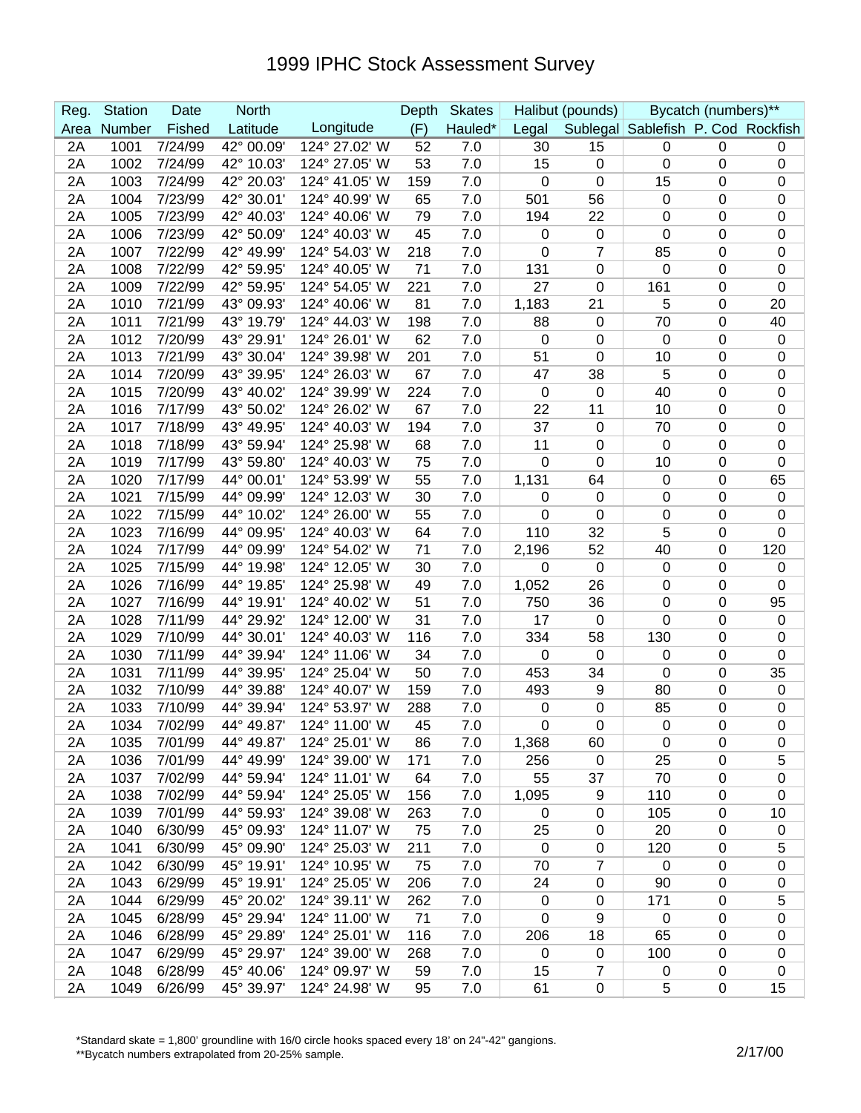## 1999 IPHC Stock Assessment Survey

| Reg. | <b>Station</b> | Date    | <b>North</b>       |               | Depth | <b>Skates</b> | Halibut (pounds) |                | Bycatch (numbers)**                |           |                  |
|------|----------------|---------|--------------------|---------------|-------|---------------|------------------|----------------|------------------------------------|-----------|------------------|
| Area | Number         | Fished  | Latitude           | Longitude     | (F)   | Hauled*       | Legal            |                | Sublegal Sablefish P. Cod Rockfish |           |                  |
| 2A   | 1001           | 7/24/99 | $42^{\circ}$ 00.09 | 124° 27.02' W | 52    | 7.0           | 30               | 15             | 0                                  | 0         | 0                |
| 2A   | 1002           | 7/24/99 | 42° 10.03'         | 124° 27.05' W | 53    | 7.0           | 15               | 0              | $\mathbf 0$                        | 0         | $\boldsymbol{0}$ |
| 2A   | 1003           | 7/24/99 | 42° 20.03'         | 124° 41.05' W | 159   | 7.0           | 0                | 0              | 15                                 | 0         | $\mathbf 0$      |
| 2A   | 1004           | 7/23/99 | 42° 30.01'         | 124° 40.99' W | 65    | 7.0           | 501              | 56             | 0                                  | 0         | $\boldsymbol{0}$ |
| 2A   | 1005           | 7/23/99 | 42° 40.03'         | 124° 40.06' W | 79    | 7.0           | 194              | 22             | 0                                  | 0         | $\boldsymbol{0}$ |
| 2A   | 1006           | 7/23/99 | 42° 50.09'         | 124° 40.03' W | 45    | 7.0           | $\mathbf 0$      | $\pmb{0}$      | 0                                  | 0         | $\mathbf 0$      |
| 2A   | 1007           | 7/22/99 | 42° 49.99'         | 124° 54.03' W | 218   | 7.0           | $\mathbf 0$      | $\overline{7}$ | 85                                 | 0         | $\boldsymbol{0}$ |
| 2A   | 1008           | 7/22/99 | 42° 59.95'         | 124° 40.05' W | 71    | 7.0           | 131              | 0              | $\mathbf 0$                        | 0         | $\boldsymbol{0}$ |
| 2A   | 1009           | 7/22/99 | 42° 59.95'         | 124° 54.05' W | 221   | 7.0           | 27               | 0              | 161                                | 0         | $\mathbf 0$      |
| 2A   | 1010           | 7/21/99 | 43° 09.93'         | 124° 40.06' W | 81    | 7.0           | 1,183            | 21             | 5                                  | 0         | 20               |
| 2A   | 1011           | 7/21/99 | 43° 19.79'         | 124° 44.03' W | 198   | 7.0           | 88               | 0              | 70                                 | 0         | 40               |
| 2A   | 1012           | 7/20/99 | 43° 29.91'         | 124° 26.01' W | 62    | 7.0           | 0                | 0              | 0                                  | 0         | $\mathbf 0$      |
| 2A   | 1013           | 7/21/99 | 43° 30.04'         | 124° 39.98' W | 201   | 7.0           | 51               | 0              | 10                                 | 0         | 0                |
| 2A   | 1014           | 7/20/99 | 43° 39.95'         | 124° 26.03' W | 67    | 7.0           | 47               | 38             | 5                                  | 0         | $\boldsymbol{0}$ |
| 2A   | 1015           | 7/20/99 | 43° 40.02'         | 124° 39.99' W | 224   | 7.0           | $\mathbf 0$      | 0              | 40                                 | 0         | $\boldsymbol{0}$ |
| 2A   | 1016           | 7/17/99 | 43° 50.02'         | 124° 26.02' W | 67    | 7.0           | 22               | 11             | 10                                 | 0         | $\boldsymbol{0}$ |
| 2A   | 1017           | 7/18/99 | 43° 49.95'         | 124° 40.03' W | 194   | 7.0           | 37               | 0              | 70                                 | 0         | $\boldsymbol{0}$ |
| 2A   | 1018           | 7/18/99 | 43° 59.94'         | 124° 25.98' W | 68    | 7.0           | 11               | 0              | $\mathbf 0$                        | 0         | $\mathbf 0$      |
| 2A   | 1019           | 7/17/99 | 43° 59.80'         | 124° 40.03' W | 75    | 7.0           | $\mathbf 0$      | 0              | 10                                 | 0         | 0                |
| 2A   | 1020           | 7/17/99 | 44° 00.01'         | 124° 53.99' W | 55    | 7.0           | 1,131            | 64             | $\mathbf 0$                        | 0         | 65               |
| 2A   | 1021           | 7/15/99 | 44° 09.99'         | 124° 12.03' W | 30    | 7.0           | 0                | 0              | 0                                  | 0         | $\boldsymbol{0}$ |
| 2A   | 1022           | 7/15/99 | 44° 10.02'         | 124° 26.00' W | 55    | 7.0           | $\Omega$         | 0              | $\mathbf 0$                        | 0         | 0                |
| 2A   | 1023           | 7/16/99 | 44° 09.95'         | 124° 40.03' W | 64    | 7.0           | 110              | 32             | 5                                  | 0         | $\mathbf 0$      |
| 2A   | 1024           | 7/17/99 | 44° 09.99'         | 124° 54.02' W | 71    | 7.0           | 2,196            | 52             | 40                                 | 0         | 120              |
| 2A   | 1025           | 7/15/99 | 44° 19.98'         | 124° 12.05' W | 30    | 7.0           | 0                | $\pmb{0}$      | 0                                  | 0         | $\mathbf 0$      |
| 2A   | 1026           | 7/16/99 | 44° 19.85'         | 124° 25.98' W | 49    | 7.0           | 1,052            | 26             | $\mathbf 0$                        | 0         | 0                |
| 2A   | 1027           | 7/16/99 | 44° 19.91'         | 124° 40.02' W | 51    | 7.0           | 750              | 36             | 0                                  | 0         | 95               |
| 2A   | 1028           | 7/11/99 | 44° 29.92'         | 124° 12.00' W | 31    | 7.0           | 17               | 0              | 0                                  | 0         | $\mathbf 0$      |
| 2A   | 1029           | 7/10/99 | 44° 30.01'         | 124° 40.03' W | 116   | 7.0           | 334              | 58             | 130                                | 0         | $\boldsymbol{0}$ |
| 2A   | 1030           | 7/11/99 | 44° 39.94'         | 124° 11.06' W | 34    | 7.0           | $\mathbf 0$      | 0              | 0                                  | 0         | $\boldsymbol{0}$ |
| 2A   | 1031           | 7/11/99 | 44° 39.95'         | 124° 25.04' W | 50    | 7.0           | 453              | 34             | 0                                  | 0         | 35               |
| 2A   | 1032           | 7/10/99 | 44° 39.88'         | 124° 40.07' W | 159   | 7.0           | 493              | 9              | 80                                 | 0         | $\boldsymbol{0}$ |
| 2A   | 1033           | 7/10/99 | 44° 39.94'         | 124° 53.97' W | 288   | 7.0           | $\mathbf 0$      | 0              | 85                                 | 0         | $\boldsymbol{0}$ |
| 2A   | 1034           | 7/02/99 | 44° 49.87'         | 124° 11.00' W | 45    | 7.0           | $\mathbf 0$      | $\pmb{0}$      | $\mathbf 0$                        | 0         | $\mathbf 0$      |
| 2A   | 1035           | 7/01/99 | 44° 49.87'         | 124° 25.01' W | 86    | 7.0           | 1,368            | 60             | 0                                  | 0         | 0                |
| 2A   | 1036           | 7/01/99 | 44° 49.99'         | 124° 39.00' W | 171   | 7.0           | 256              | $\pmb{0}$      | 25                                 | 0         | 5                |
| 2A   | 1037           | 7/02/99 | 44° 59.94'         | 124° 11.01' W | 64    | 7.0           | 55               | 37             | 70                                 | 0         | 0                |
| 2A   | 1038           | 7/02/99 | 44° 59.94'         | 124° 25.05' W | 156   | 7.0           | 1,095            | 9              | 110                                | 0         | 0                |
| 2A   | 1039           | 7/01/99 | 44° 59.93'         | 124° 39.08' W | 263   | 7.0           | 0                | 0              | 105                                | 0         | 10               |
| 2A   | 1040           | 6/30/99 | 45° 09.93'         | 124° 11.07' W | 75    | 7.0           | 25               | $\pmb{0}$      | 20                                 | 0         | $\pmb{0}$        |
| 2A   | 1041           | 6/30/99 | 45° 09.90'         | 124° 25.03' W | 211   | 7.0           | $\mathbf 0$      | $\pmb{0}$      | 120                                | 0         | 5                |
| 2A   | 1042           | 6/30/99 | 45° 19.91'         | 124° 10.95' W | 75    | 7.0           | 70               | 7              | $\mathbf 0$                        | 0         | $\pmb{0}$        |
| 2A   | 1043           | 6/29/99 | 45° 19.91'         | 124° 25.05' W | 206   | 7.0           | 24               | $\pmb{0}$      | 90                                 | 0         | $\pmb{0}$        |
| 2A   | 1044           | 6/29/99 | 45° 20.02'         | 124° 39.11' W | 262   | 7.0           | $\mathbf 0$      | 0              | 171                                | 0         | $\sqrt{5}$       |
| 2A   | 1045           | 6/28/99 | 45° 29.94'         | 124° 11.00' W | 71    | 7.0           | 0                | 9              | 0                                  | 0         | $\pmb{0}$        |
| 2A   | 1046           | 6/28/99 | 45° 29.89'         | 124° 25.01' W | 116   | 7.0           | 206              | 18             | 65                                 | 0         | 0                |
| 2A   | 1047           | 6/29/99 | 45° 29.97'         | 124° 39.00' W | 268   | 7.0           | 0                | 0              | 100                                | 0         | 0                |
| 2A   | 1048           | 6/28/99 | 45° 40.06'         | 124° 09.97' W | 59    | 7.0           | 15               | 7              | $\mathbf 0$                        | 0         | 0                |
| 2A   | 1049           | 6/26/99 | 45° 39.97'         | 124° 24.98' W | 95    | 7.0           | 61               | $\pmb{0}$      | 5                                  | $\pmb{0}$ | 15               |

\*Standard skate = 1,800' groundline with 16/0 circle hooks spaced every 18' on 24"-42" gangions.

\*\*Bycatch numbers extrapolated from 20-25% sample.<br>\*\*Bycatch numbers extrapolated from 20-25% sample.